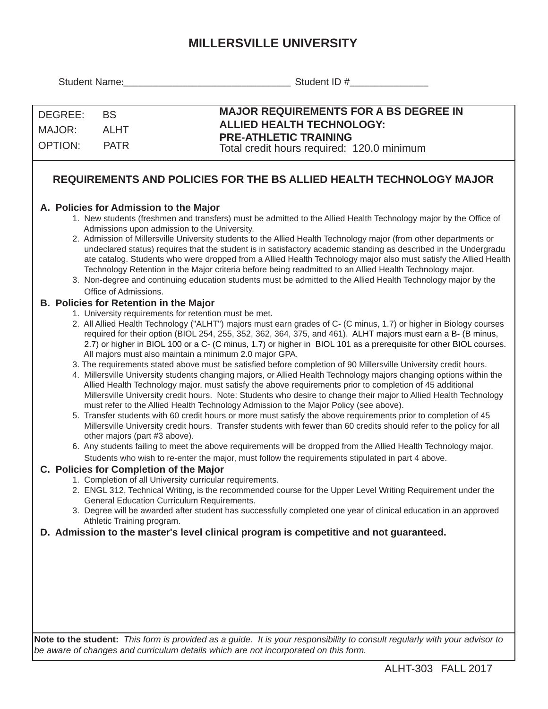## **MILLERSVILLE UNIVERSITY**

| Student Name:                                                                                                                                                                                                                                                                                                                                                                                                                                                                                                                                                                                                                                                                                                                                                                                                                                                                                                                                                                                                                                                                                                                                                                                                                                                                                                                                                                                                                                                                                                                                                                                         |                                                                 | Student ID #                                                                                                                                                                                                                                                                                                                                                                                                                                                                                                                                                                                                                                                                                                                                               |  |  |  |  |  |  |  |
|-------------------------------------------------------------------------------------------------------------------------------------------------------------------------------------------------------------------------------------------------------------------------------------------------------------------------------------------------------------------------------------------------------------------------------------------------------------------------------------------------------------------------------------------------------------------------------------------------------------------------------------------------------------------------------------------------------------------------------------------------------------------------------------------------------------------------------------------------------------------------------------------------------------------------------------------------------------------------------------------------------------------------------------------------------------------------------------------------------------------------------------------------------------------------------------------------------------------------------------------------------------------------------------------------------------------------------------------------------------------------------------------------------------------------------------------------------------------------------------------------------------------------------------------------------------------------------------------------------|-----------------------------------------------------------------|------------------------------------------------------------------------------------------------------------------------------------------------------------------------------------------------------------------------------------------------------------------------------------------------------------------------------------------------------------------------------------------------------------------------------------------------------------------------------------------------------------------------------------------------------------------------------------------------------------------------------------------------------------------------------------------------------------------------------------------------------------|--|--|--|--|--|--|--|
| DEGREE:<br>MAJOR:<br><b>OPTION:</b>                                                                                                                                                                                                                                                                                                                                                                                                                                                                                                                                                                                                                                                                                                                                                                                                                                                                                                                                                                                                                                                                                                                                                                                                                                                                                                                                                                                                                                                                                                                                                                   | <b>BS</b><br><b>ALHT</b><br><b>PATR</b>                         | <b>MAJOR REQUIREMENTS FOR A BS DEGREE IN</b><br><b>ALLIED HEALTH TECHNOLOGY:</b><br><b>PRE-ATHLETIC TRAINING</b><br>Total credit hours required: 120.0 minimum                                                                                                                                                                                                                                                                                                                                                                                                                                                                                                                                                                                             |  |  |  |  |  |  |  |
| REQUIREMENTS AND POLICIES FOR THE BS ALLIED HEALTH TECHNOLOGY MAJOR                                                                                                                                                                                                                                                                                                                                                                                                                                                                                                                                                                                                                                                                                                                                                                                                                                                                                                                                                                                                                                                                                                                                                                                                                                                                                                                                                                                                                                                                                                                                   |                                                                 |                                                                                                                                                                                                                                                                                                                                                                                                                                                                                                                                                                                                                                                                                                                                                            |  |  |  |  |  |  |  |
|                                                                                                                                                                                                                                                                                                                                                                                                                                                                                                                                                                                                                                                                                                                                                                                                                                                                                                                                                                                                                                                                                                                                                                                                                                                                                                                                                                                                                                                                                                                                                                                                       | A. Policies for Admission to the Major<br>Office of Admissions. | 1. New students (freshmen and transfers) must be admitted to the Allied Health Technology major by the Office of<br>Admissions upon admission to the University.<br>2. Admission of Millersville University students to the Allied Health Technology major (from other departments or<br>undeclared status) requires that the student is in satisfactory academic standing as described in the Undergradu<br>ate catalog. Students who were dropped from a Allied Health Technology major also must satisfy the Allied Health<br>Technology Retention in the Major criteria before being readmitted to an Allied Health Technology major.<br>3. Non-degree and continuing education students must be admitted to the Allied Health Technology major by the |  |  |  |  |  |  |  |
| <b>B. Policies for Retention in the Major</b><br>1. University requirements for retention must be met.<br>2. All Allied Health Technology ("ALHT") majors must earn grades of C- (C minus, 1.7) or higher in Biology courses<br>required for their option (BIOL 254, 255, 352, 362, 364, 375, and 461). ALHT majors must earn a B- (B minus,<br>2.7) or higher in BIOL 100 or a C- (C minus, 1.7) or higher in BIOL 101 as a prerequisite for other BIOL courses.<br>All majors must also maintain a minimum 2.0 major GPA.<br>3. The requirements stated above must be satisfied before completion of 90 Millersville University credit hours.<br>4. Millersville University students changing majors, or Allied Health Technology majors changing options within the<br>Allied Health Technology major, must satisfy the above requirements prior to completion of 45 additional<br>Millersville University credit hours. Note: Students who desire to change their major to Allied Health Technology<br>must refer to the Allied Health Technology Admission to the Major Policy (see above).<br>5. Transfer students with 60 credit hours or more must satisfy the above requirements prior to completion of 45<br>Millersville University credit hours. Transfer students with fewer than 60 credits should refer to the policy for all<br>other majors (part #3 above).<br>6. Any students failing to meet the above requirements will be dropped from the Allied Health Technology major.<br>Students who wish to re-enter the major, must follow the requirements stipulated in part 4 above. |                                                                 |                                                                                                                                                                                                                                                                                                                                                                                                                                                                                                                                                                                                                                                                                                                                                            |  |  |  |  |  |  |  |
|                                                                                                                                                                                                                                                                                                                                                                                                                                                                                                                                                                                                                                                                                                                                                                                                                                                                                                                                                                                                                                                                                                                                                                                                                                                                                                                                                                                                                                                                                                                                                                                                       | Athletic Training program.                                      | C. Policies for Completion of the Major<br>1. Completion of all University curricular requirements.<br>2. ENGL 312, Technical Writing, is the recommended course for the Upper Level Writing Requirement under the<br>General Education Curriculum Requirements.<br>3. Degree will be awarded after student has successfully completed one year of clinical education in an approved                                                                                                                                                                                                                                                                                                                                                                       |  |  |  |  |  |  |  |
|                                                                                                                                                                                                                                                                                                                                                                                                                                                                                                                                                                                                                                                                                                                                                                                                                                                                                                                                                                                                                                                                                                                                                                                                                                                                                                                                                                                                                                                                                                                                                                                                       |                                                                 | D. Admission to the master's level clinical program is competitive and not guaranteed.<br>Note to the student: This form is provided as a guide. It is your responsibility to consult regularly with your advisor to<br>be aware of changes and curriculum details which are not incorporated on this form.                                                                                                                                                                                                                                                                                                                                                                                                                                                |  |  |  |  |  |  |  |

ALHT-303 FALL 2017